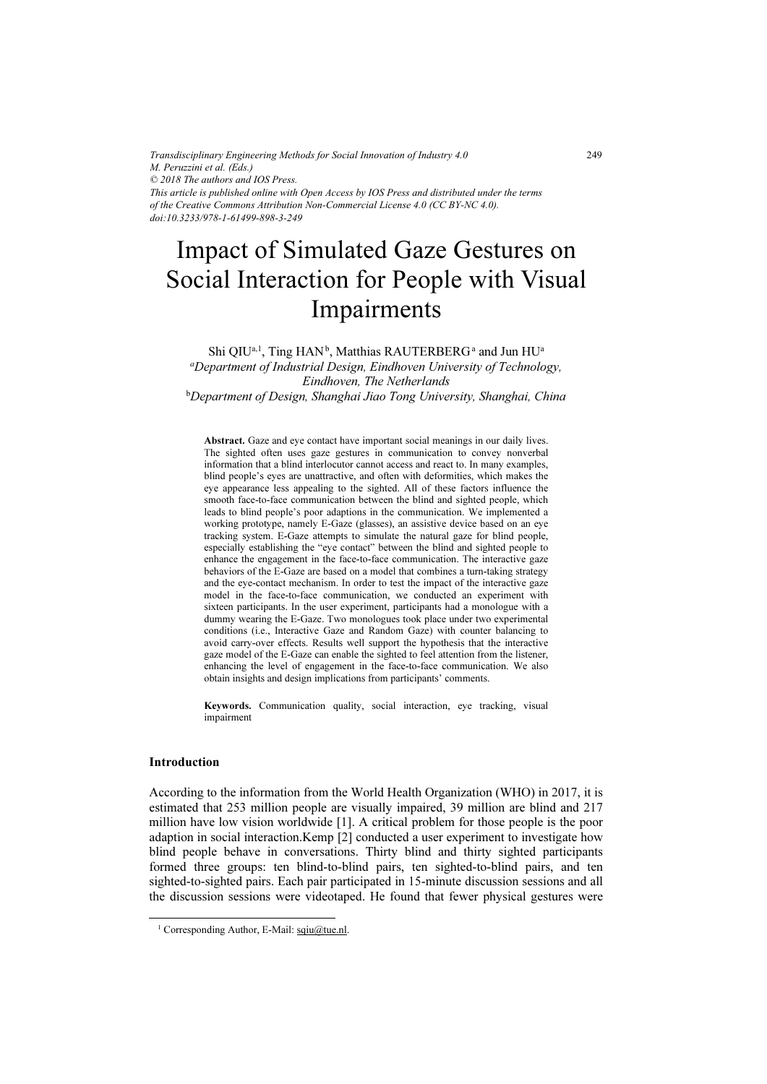*Transdisciplinary Engineering Methods for Social Innovation of Industry 4.0 M. Peruzzini et al. (Eds.) © 2018 The authors and IOS Press. This article is published online with Open Access by IOS Press and distributed under the terms of the Creative Commons Attribution Non-Commercial License 4.0 (CC BY-NC 4.0). doi:10.3233/978-1-61499-898-3-249*

# Impact of Simulated Gaze Gestures on Social Interaction for People with Visual Impairments

 $\mathrm{Shi}\ \mathrm{QIU}^{\mathrm{a},\mathrm{l}}$ ,  $\mathrm{Ting}\ \mathrm{HAN}^{\mathrm{b}}$ , Matthias  $\mathrm{RAUTERBERG}^{\mathrm{a}}$  and  $\mathrm{Jun}\ \mathrm{HU}^{\mathrm{a}}$ <sup>a</sup>Department of Industrial Design, Eindhoven University of Technology, Eindhoven, The Netherlands

b Department of Design, Shanghai Jiao Tong University, Shanghai, China

Abstract. Gaze and eye contact have important social meanings in our daily lives. The sighted often uses gaze gestures in communication to convey nonverbal information that a blind interlocutor cannot access and react to. In many examples, blind people's eyes are unattractive, and often with deformities, which makes the eye appearance less appealing to the sighted. All of these factors influence the smooth face-to-face communication between the blind and sighted people, which leads to blind people's poor adaptions in the communication. We implemented a working prototype, namely E-Gaze (glasses), an assistive device based on an eye tracking system. E-Gaze attempts to simulate the natural gaze for blind people, especially establishing the "eye contact" between the blind and sighted people to enhance the engagement in the face-to-face communication. The interactive gaze behaviors of the E-Gaze are based on a model that combines a turn-taking strategy and the eye-contact mechanism. In order to test the impact of the interactive gaze model in the face-to-face communication, we conducted an experiment with sixteen participants. In the user experiment, participants had a monologue with a dummy wearing the E-Gaze. Two monologues took place under two experimental conditions (i.e., Interactive Gaze and Random Gaze) with counter balancing to avoid carry-over effects. Results well support the hypothesis that the interactive gaze model of the E-Gaze can enable the sighted to feel attention from the listener, enhancing the level of engagement in the face-to-face communication. We also obtain insights and design implications from participants' comments.

Keywords. Communication quality, social interaction, eye tracking, visual impairment

# Introduction

According to the information from the World Health Organization (WHO) in 2017, it is estimated that 253 million people are visually impaired, 39 million are blind and 217 million have low vision worldwide [1]. A critical problem for those people is the poor adaption in social interaction.Kemp [2] conducted a user experiment to investigate how blind people behave in conversations. Thirty blind and thirty sighted participants formed three groups: ten blind-to-blind pairs, ten sighted-to-blind pairs, and ten sighted-to-sighted pairs. Each pair participated in 15-minute discussion sessions and all the discussion sessions were videotaped. He found that fewer physical gestures were

<sup>&</sup>lt;sup>1</sup> Corresponding Author, E-Mail: sqiu@tue.nl.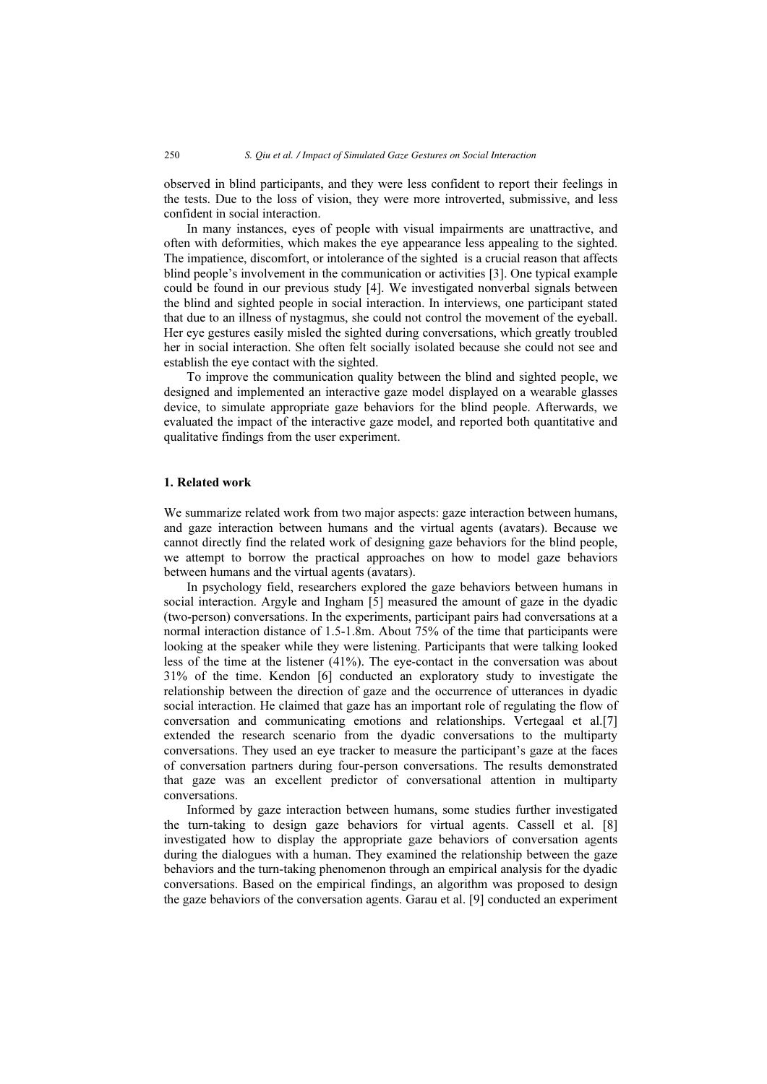observed in blind participants, and they were less confident to report their feelings in the tests. Due to the loss of vision, they were more introverted, submissive, and less confident in social interaction.

In many instances, eyes of people with visual impairments are unattractive, and often with deformities, which makes the eye appearance less appealing to the sighted. The impatience, discomfort, or intolerance of the sighted is a crucial reason that affects blind people's involvement in the communication or activities [3]. One typical example could be found in our previous study [4]. We investigated nonverbal signals between the blind and sighted people in social interaction. In interviews, one participant stated that due to an illness of nystagmus, she could not control the movement of the eyeball. Her eye gestures easily misled the sighted during conversations, which greatly troubled her in social interaction. She often felt socially isolated because she could not see and establish the eye contact with the sighted.

To improve the communication quality between the blind and sighted people, we designed and implemented an interactive gaze model displayed on a wearable glasses device, to simulate appropriate gaze behaviors for the blind people. Afterwards, we evaluated the impact of the interactive gaze model, and reported both quantitative and qualitative findings from the user experiment.

# 1. Related work

We summarize related work from two major aspects: gaze interaction between humans, and gaze interaction between humans and the virtual agents (avatars). Because we cannot directly find the related work of designing gaze behaviors for the blind people, we attempt to borrow the practical approaches on how to model gaze behaviors between humans and the virtual agents (avatars).

In psychology field, researchers explored the gaze behaviors between humans in social interaction. Argyle and Ingham [5] measured the amount of gaze in the dyadic (two-person) conversations. In the experiments, participant pairs had conversations at a normal interaction distance of 1.5-1.8m. About 75% of the time that participants were looking at the speaker while they were listening. Participants that were talking looked less of the time at the listener (41%). The eye-contact in the conversation was about 31% of the time. Kendon [6] conducted an exploratory study to investigate the relationship between the direction of gaze and the occurrence of utterances in dyadic social interaction. He claimed that gaze has an important role of regulating the flow of conversation and communicating emotions and relationships. Vertegaal et al.[7] extended the research scenario from the dyadic conversations to the multiparty conversations. They used an eye tracker to measure the participant's gaze at the faces of conversation partners during four-person conversations. The results demonstrated that gaze was an excellent predictor of conversational attention in multiparty conversations.

Informed by gaze interaction between humans, some studies further investigated the turn-taking to design gaze behaviors for virtual agents. Cassell et al. [8] investigated how to display the appropriate gaze behaviors of conversation agents during the dialogues with a human. They examined the relationship between the gaze behaviors and the turn-taking phenomenon through an empirical analysis for the dyadic conversations. Based on the empirical findings, an algorithm was proposed to design the gaze behaviors of the conversation agents. Garau et al. [9] conducted an experiment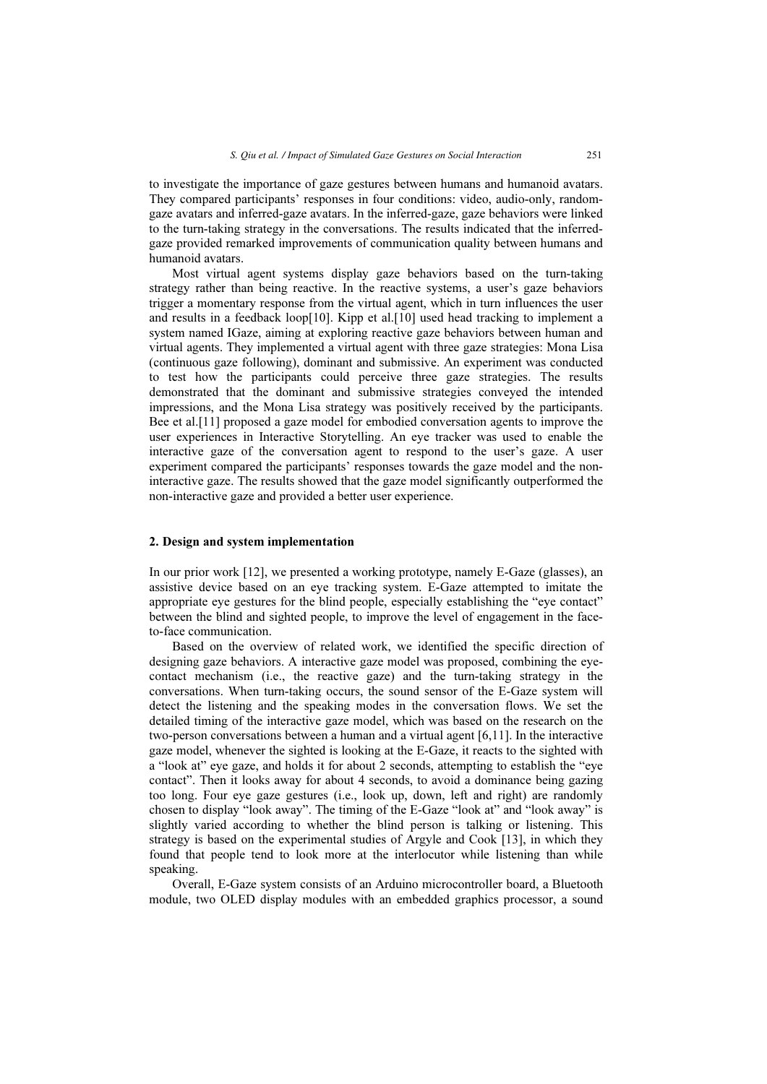to investigate the importance of gaze gestures between humans and humanoid avatars. They compared participants' responses in four conditions: video, audio-only, randomgaze avatars and inferred-gaze avatars. In the inferred-gaze, gaze behaviors were linked to the turn-taking strategy in the conversations. The results indicated that the inferredgaze provided remarked improvements of communication quality between humans and humanoid avatars.

Most virtual agent systems display gaze behaviors based on the turn-taking strategy rather than being reactive. In the reactive systems, a user's gaze behaviors trigger a momentary response from the virtual agent, which in turn influences the user and results in a feedback loop[10]. Kipp et al.[10] used head tracking to implement a system named IGaze, aiming at exploring reactive gaze behaviors between human and virtual agents. They implemented a virtual agent with three gaze strategies: Mona Lisa (continuous gaze following), dominant and submissive. An experiment was conducted to test how the participants could perceive three gaze strategies. The results demonstrated that the dominant and submissive strategies conveyed the intended impressions, and the Mona Lisa strategy was positively received by the participants. Bee et al.[11] proposed a gaze model for embodied conversation agents to improve the user experiences in Interactive Storytelling. An eye tracker was used to enable the interactive gaze of the conversation agent to respond to the user's gaze. A user experiment compared the participants' responses towards the gaze model and the noninteractive gaze. The results showed that the gaze model significantly outperformed the non-interactive gaze and provided a better user experience.

# 2. Design and system implementation

In our prior work [12], we presented a working prototype, namely E-Gaze (glasses), an assistive device based on an eye tracking system. E-Gaze attempted to imitate the appropriate eye gestures for the blind people, especially establishing the "eye contact" between the blind and sighted people, to improve the level of engagement in the faceto-face communication.

Based on the overview of related work, we identified the specific direction of designing gaze behaviors. A interactive gaze model was proposed, combining the eyecontact mechanism (i.e., the reactive gaze) and the turn-taking strategy in the conversations. When turn-taking occurs, the sound sensor of the E-Gaze system will detect the listening and the speaking modes in the conversation flows. We set the detailed timing of the interactive gaze model, which was based on the research on the two-person conversations between a human and a virtual agent [6,11]. In the interactive gaze model, whenever the sighted is looking at the E-Gaze, it reacts to the sighted with a "look at" eye gaze, and holds it for about 2 seconds, attempting to establish the "eye contact". Then it looks away for about 4 seconds, to avoid a dominance being gazing too long. Four eye gaze gestures (i.e., look up, down, left and right) are randomly chosen to display "look away". The timing of the E-Gaze "look at" and "look away" is slightly varied according to whether the blind person is talking or listening. This strategy is based on the experimental studies of Argyle and Cook [13], in which they found that people tend to look more at the interlocutor while listening than while speaking.

Overall, E-Gaze system consists of an Arduino microcontroller board, a Bluetooth module, two OLED display modules with an embedded graphics processor, a sound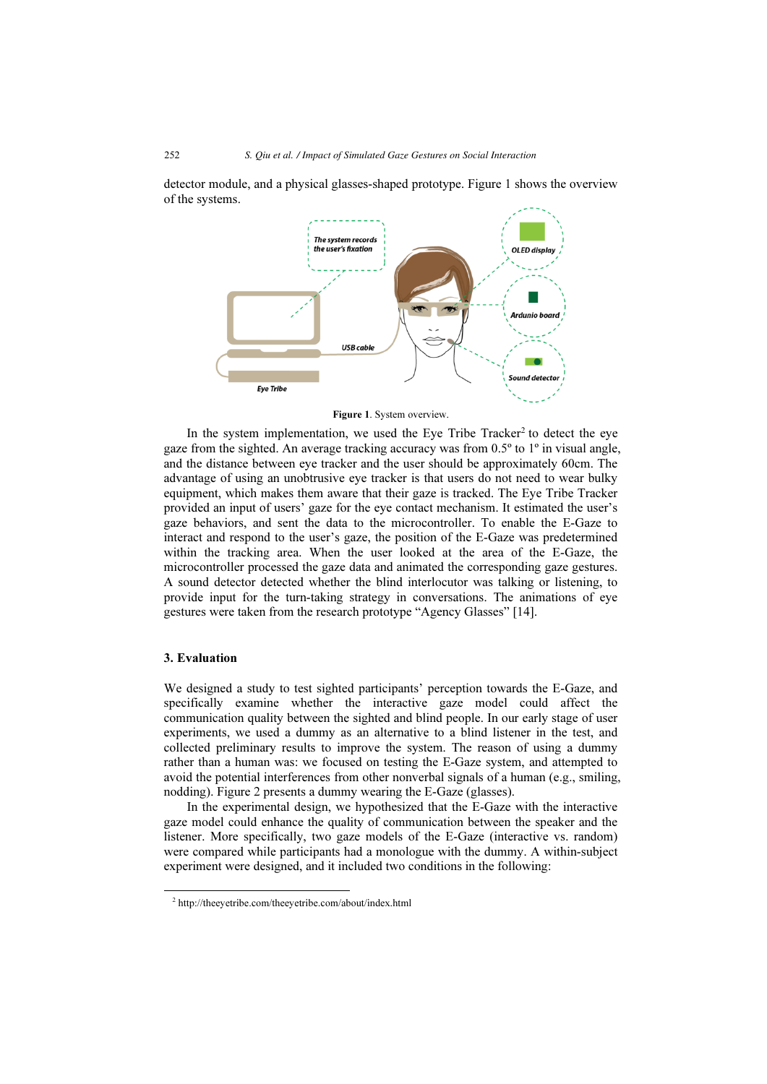detector module, and a physical glasses-shaped prototype. Figure 1 shows the overview of the systems.



Figure 1. System overview.

In the system implementation, we used the Eye Tribe  $\text{Trace}^2$  to detect the eye gaze from the sighted. An average tracking accuracy was from 0.5º to 1º in visual angle, and the distance between eye tracker and the user should be approximately 60cm. The advantage of using an unobtrusive eye tracker is that users do not need to wear bulky equipment, which makes them aware that their gaze is tracked. The Eye Tribe Tracker provided an input of users' gaze for the eye contact mechanism. It estimated the user's gaze behaviors, and sent the data to the microcontroller. To enable the E-Gaze to interact and respond to the user's gaze, the position of the E-Gaze was predetermined within the tracking area. When the user looked at the area of the E-Gaze, the microcontroller processed the gaze data and animated the corresponding gaze gestures. A sound detector detected whether the blind interlocutor was talking or listening, to provide input for the turn-taking strategy in conversations. The animations of eye gestures were taken from the research prototype "Agency Glasses" [14].

# 3. Evaluation

We designed a study to test sighted participants' perception towards the E-Gaze, and specifically examine whether the interactive gaze model could affect the communication quality between the sighted and blind people. In our early stage of user experiments, we used a dummy as an alternative to a blind listener in the test, and collected preliminary results to improve the system. The reason of using a dummy rather than a human was: we focused on testing the E-Gaze system, and attempted to avoid the potential interferences from other nonverbal signals of a human (e.g., smiling, nodding). Figure 2 presents a dummy wearing the E-Gaze (glasses).

In the experimental design, we hypothesized that the E-Gaze with the interactive gaze model could enhance the quality of communication between the speaker and the listener. More specifically, two gaze models of the E-Gaze (interactive vs. random) were compared while participants had a monologue with the dummy. A within-subject experiment were designed, and it included two conditions in the following:

2 http://theeyetribe.com/theeyetribe.com/about/index.html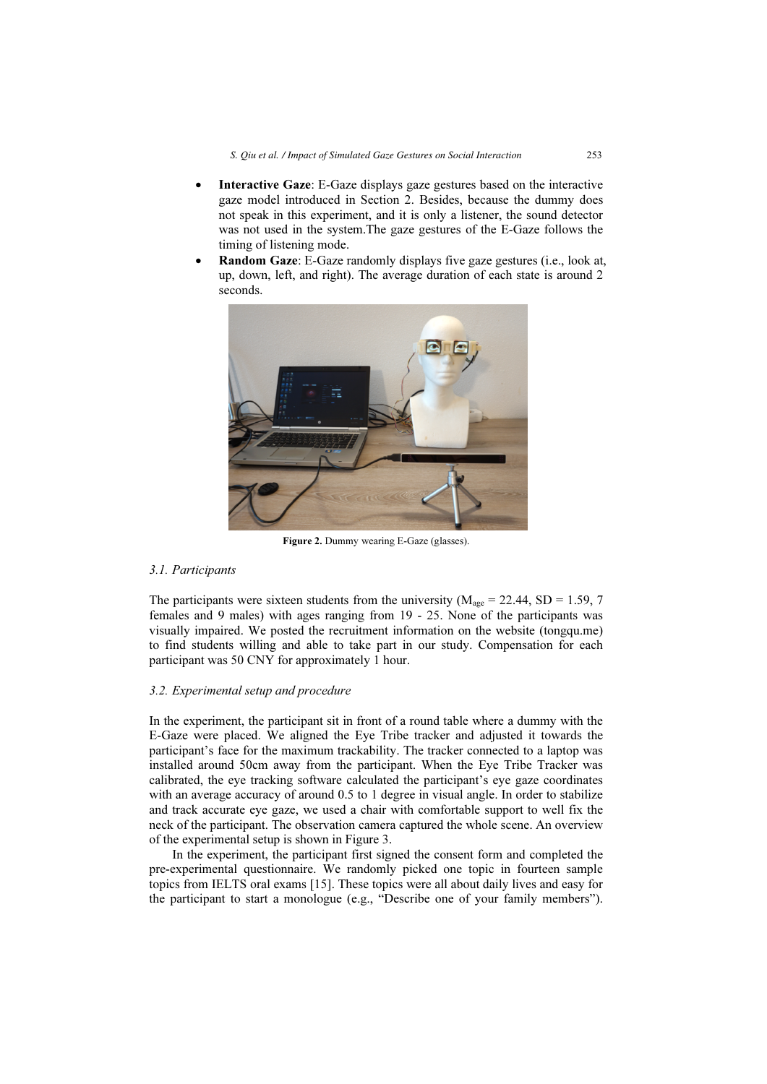- • Interactive Gaze: E-Gaze displays gaze gestures based on the interactive gaze model introduced in Section 2. Besides, because the dummy does not speak in this experiment, and it is only a listener, the sound detector was not used in the system.The gaze gestures of the E-Gaze follows the timing of listening mode.
- • Random Gaze: E-Gaze randomly displays five gaze gestures (i.e., look at, up, down, left, and right). The average duration of each state is around 2 seconds.



Figure 2. Dummy wearing E-Gaze (glasses).

### 3.1. Participants

The participants were sixteen students from the university ( $M_{\text{age}} = 22.44$ , SD = 1.59, 7 females and 9 males) with ages ranging from 19 - 25. None of the participants was visually impaired. We posted the recruitment information on the website (tongqu.me) to find students willing and able to take part in our study. Compensation for each participant was 50 CNY for approximately 1 hour.

# 3.2. Experimental setup and procedure

In the experiment, the participant sit in front of a round table where a dummy with the E-Gaze were placed. We aligned the Eye Tribe tracker and adjusted it towards the participant's face for the maximum trackability. The tracker connected to a laptop was installed around 50cm away from the participant. When the Eye Tribe Tracker was calibrated, the eye tracking software calculated the participant's eye gaze coordinates with an average accuracy of around 0.5 to 1 degree in visual angle. In order to stabilize and track accurate eye gaze, we used a chair with comfortable support to well fix the neck of the participant. The observation camera captured the whole scene. An overview of the experimental setup is shown in Figure 3.

In the experiment, the participant first signed the consent form and completed the pre-experimental questionnaire. We randomly picked one topic in fourteen sample topics from IELTS oral exams [15]. These topics were all about daily lives and easy for the participant to start a monologue (e.g., "Describe one of your family members").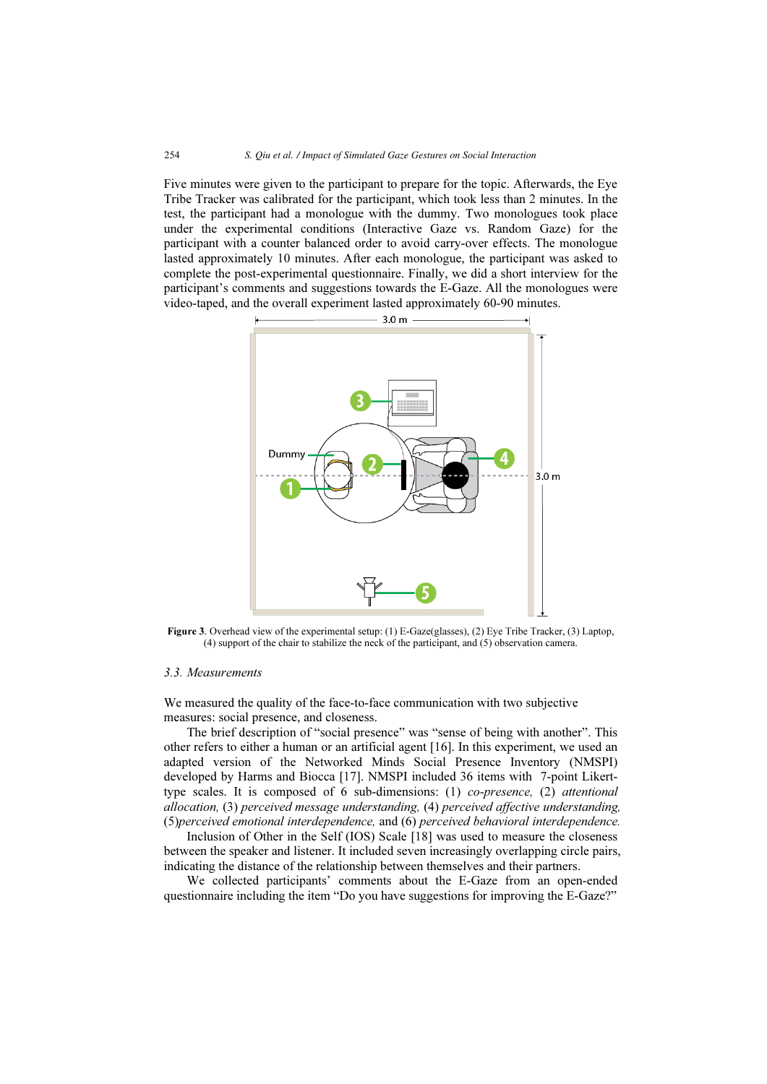Five minutes were given to the participant to prepare for the topic. Afterwards, the Eye Tribe Tracker was calibrated for the participant, which took less than 2 minutes. In the test, the participant had a monologue with the dummy. Two monologues took place under the experimental conditions (Interactive Gaze vs. Random Gaze) for the participant with a counter balanced order to avoid carry-over effects. The monologue lasted approximately 10 minutes. After each monologue, the participant was asked to complete the post-experimental questionnaire. Finally, we did a short interview for the participant's comments and suggestions towards the E-Gaze. All the monologues were video-taped, and the overall experiment lasted approximately 60-90 minutes.



Figure 3. Overhead view of the experimental setup: (1) E-Gaze(glasses), (2) Eye Tribe Tracker, (3) Laptop, (4) support of the chair to stabilize the neck of the participant, and (5) observation camera.

#### 3.3. Measurements

We measured the quality of the face-to-face communication with two subjective measures: social presence, and closeness.

The brief description of "social presence" was "sense of being with another". This other refers to either a human or an artificial agent [16]. In this experiment, we used an adapted version of the Networked Minds Social Presence Inventory (NMSPI) developed by Harms and Biocca [17]. NMSPI included 36 items with 7-point Likerttype scales. It is composed of 6 sub-dimensions: (1) co-presence, (2) attentional allocation, (3) perceived message understanding, (4) perceived affective understanding, (5)perceived emotional interdependence, and (6) perceived behavioral interdependence.

Inclusion of Other in the Self (IOS) Scale [18] was used to measure the closeness between the speaker and listener. It included seven increasingly overlapping circle pairs, indicating the distance of the relationship between themselves and their partners.

We collected participants' comments about the E-Gaze from an open-ended questionnaire including the item "Do you have suggestions for improving the E-Gaze?"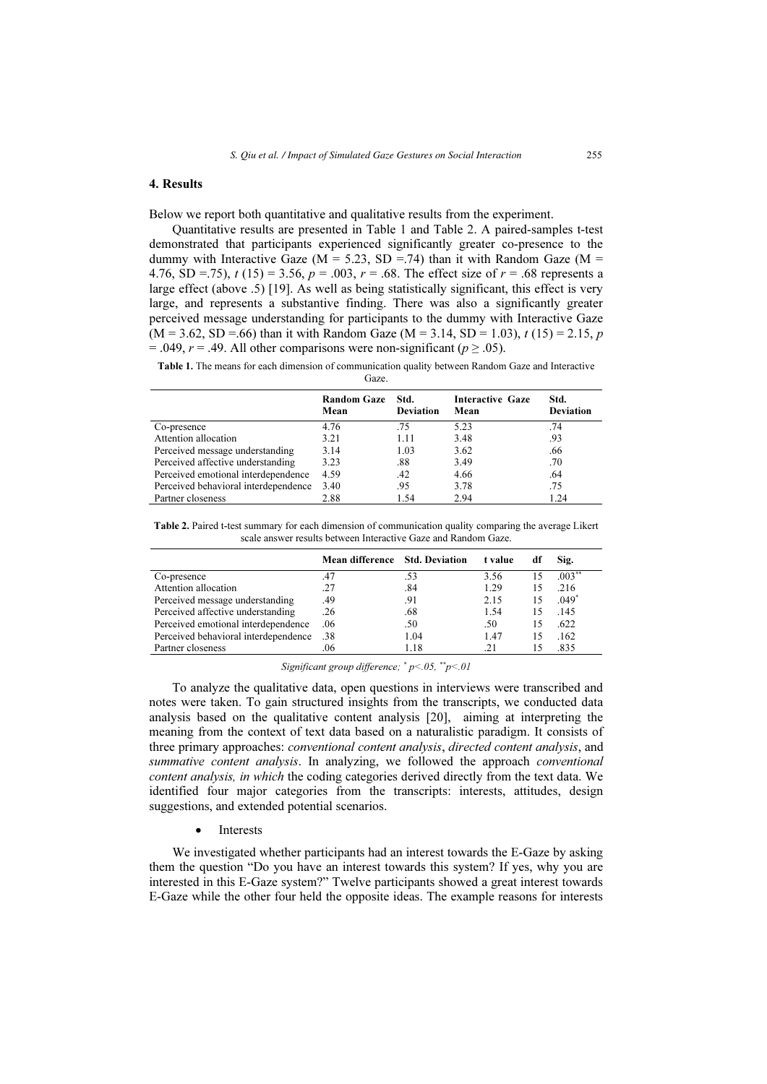# 4. Results

Below we report both quantitative and qualitative results from the experiment.

Quantitative results are presented in Table 1 and Table 2. A paired-samples t-test demonstrated that participants experienced significantly greater co-presence to the dummy with Interactive Gaze ( $M = 5.23$ , SD = 74) than it with Random Gaze ( $M =$ 4.76, SD =.75),  $t(15) = 3.56$ ,  $p = .003$ ,  $r = .68$ . The effect size of  $r = .68$  represents a large effect (above .5) [19]. As well as being statistically significant, this effect is very large, and represents a substantive finding. There was also a significantly greater perceived message understanding for participants to the dummy with Interactive Gaze  $(M = 3.62, SD = .66)$  than it with Random Gaze  $(M = 3.14, SD = 1.03)$ ,  $t (15) = 2.15$ , p = .049,  $r = .49$ . All other comparisons were non-significant ( $p \ge .05$ ).

Table 1. The means for each dimension of communication quality between Random Gaze and Interactive Gaze.

|                                      | <b>Random Gaze</b><br>Mean | Std.<br><b>Deviation</b> | <b>Interactive Gaze</b><br>Mean | Std.<br><b>Deviation</b> |
|--------------------------------------|----------------------------|--------------------------|---------------------------------|--------------------------|
| Co-presence                          | 4.76                       | .75                      | 5.23                            | .74                      |
| Attention allocation                 | 3.21                       | 1.11                     | 3.48                            | .93                      |
| Perceived message understanding      | 3.14                       | 1.03                     | 3.62                            | .66                      |
| Perceived affective understanding    | 3.23                       | .88                      | 3.49                            | .70                      |
| Perceived emotional interdependence  | 4.59                       | .42                      | 4.66                            | .64                      |
| Perceived behavioral interdependence | 3.40                       | .95                      | 3.78                            | .75                      |
| Partner closeness                    | 2.88                       | 1.54                     | 2.94                            | 1.24                     |
|                                      |                            |                          |                                 |                          |

Table 2. Paired t-test summary for each dimension of communication quality comparing the average Likert scale answer results between Interactive Gaze and Random Gaze.

|                                      | Mean difference Std. Deviation |      | t value | df | Sig.      |
|--------------------------------------|--------------------------------|------|---------|----|-----------|
| Co-presence                          | .47                            | .53  | 3.56    |    | $.003***$ |
| Attention allocation                 | .27                            | .84  | 1.29    | 15 | .216      |
| Perceived message understanding      | .49                            | .91  | 2.15    | 15 | $.049*$   |
| Perceived affective understanding    | .26                            | .68  | 1.54    | 15 | .145      |
| Perceived emotional interdependence  | .06                            | .50  | .50     | 15 | .622      |
| Perceived behavioral interdependence | .38                            | 1.04 | 1.47    | 15 | .162      |
| Partner closeness                    | .06                            | 1.18 | .21     |    | 835       |

Significant group difference;  $\degree p$  < 05,  $\degree^{*}p$  < 01

To analyze the qualitative data, open questions in interviews were transcribed and notes were taken. To gain structured insights from the transcripts, we conducted data analysis based on the qualitative content analysis [20], aiming at interpreting the meaning from the context of text data based on a naturalistic paradigm. It consists of three primary approaches: *conventional content analysis, directed content analysis*, and summative content analysis. In analyzing, we followed the approach *conventional* content analysis, in which the coding categories derived directly from the text data. We identified four major categories from the transcripts: interests, attitudes, design suggestions, and extended potential scenarios.

> •Interests

We investigated whether participants had an interest towards the E-Gaze by asking them the question "Do you have an interest towards this system? If yes, why you are interested in this E-Gaze system?" Twelve participants showed a great interest towards E-Gaze while the other four held the opposite ideas. The example reasons for interests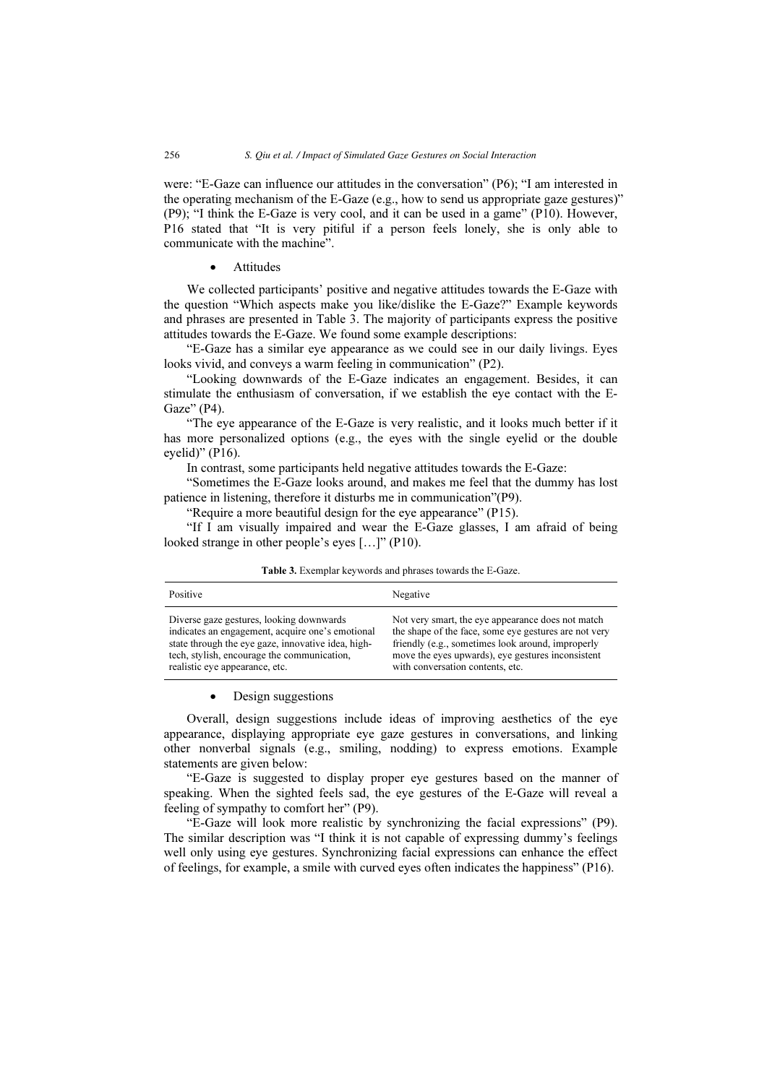were: "E-Gaze can influence our attitudes in the conversation" (P6); "I am interested in the operating mechanism of the E-Gaze (e.g., how to send us appropriate gaze gestures)" (P9); "I think the E-Gaze is very cool, and it can be used in a game" (P10). However, P16 stated that "It is very pitiful if a person feels lonely, she is only able to communicate with the machine".

> •**Attitudes**

We collected participants' positive and negative attitudes towards the E-Gaze with the question "Which aspects make you like/dislike the E-Gaze?" Example keywords and phrases are presented in Table 3. The majority of participants express the positive attitudes towards the E-Gaze. We found some example descriptions:

"E-Gaze has a similar eye appearance as we could see in our daily livings. Eyes looks vivid, and conveys a warm feeling in communication" (P2).

"Looking downwards of the E-Gaze indicates an engagement. Besides, it can stimulate the enthusiasm of conversation, if we establish the eye contact with the E-Gaze" (P4).

"The eye appearance of the E-Gaze is very realistic, and it looks much better if it has more personalized options (e.g., the eyes with the single eyelid or the double eyelid)" (P16).

In contrast, some participants held negative attitudes towards the E-Gaze:

"Sometimes the E-Gaze looks around, and makes me feel that the dummy has lost patience in listening, therefore it disturbs me in communication"(P9).

"Require a more beautiful design for the eye appearance" (P15).

"If I am visually impaired and wear the E-Gaze glasses, I am afraid of being looked strange in other people's eyes […]" (P10).

| Positive                                           | Negative                                              |
|----------------------------------------------------|-------------------------------------------------------|
| Diverse gaze gestures, looking downwards           | Not very smart, the eye appearance does not match     |
| indicates an engagement, acquire one's emotional   | the shape of the face, some eye gestures are not very |
| state through the eye gaze, innovative idea, high- | friendly (e.g., sometimes look around, improperly     |
| tech, stylish, encourage the communication,        | move the eyes upwards), eye gestures inconsistent     |
| realistic eye appearance, etc.                     | with conversation contents, etc.                      |

Table 3. Exemplar keywords and phrases towards the E-Gaze.

#### $\bullet$ Design suggestions

Overall, design suggestions include ideas of improving aesthetics of the eye appearance, displaying appropriate eye gaze gestures in conversations, and linking other nonverbal signals (e.g., smiling, nodding) to express emotions. Example statements are given below:

"E-Gaze is suggested to display proper eye gestures based on the manner of speaking. When the sighted feels sad, the eye gestures of the E-Gaze will reveal a feeling of sympathy to comfort her" (P9).

"E-Gaze will look more realistic by synchronizing the facial expressions" (P9). The similar description was "I think it is not capable of expressing dummy's feelings well only using eye gestures. Synchronizing facial expressions can enhance the effect of feelings, for example, a smile with curved eyes often indicates the happiness" (P16).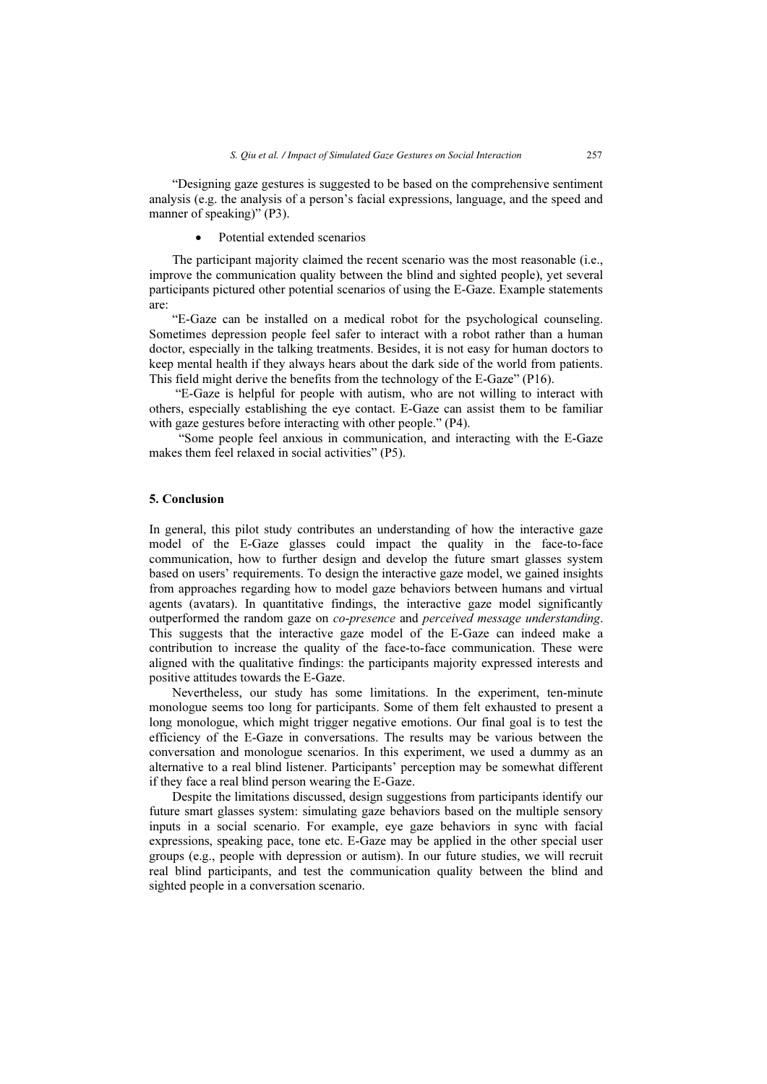"Designing gaze gestures is suggested to be based on the comprehensive sentiment analysis (e.g. the analysis of a person's facial expressions, language, and the speed and manner of speaking)" (P3).

•Potential extended scenarios

The participant majority claimed the recent scenario was the most reasonable (i.e., improve the communication quality between the blind and sighted people), yet several participants pictured other potential scenarios of using the E-Gaze. Example statements are:

"E-Gaze can be installed on a medical robot for the psychological counseling. Sometimes depression people feel safer to interact with a robot rather than a human doctor, especially in the talking treatments. Besides, it is not easy for human doctors to keep mental health if they always hears about the dark side of the world from patients. This field might derive the benefits from the technology of the E-Gaze" (P16).

 "E-Gaze is helpful for people with autism, who are not willing to interact with others, especially establishing the eye contact. E-Gaze can assist them to be familiar with gaze gestures before interacting with other people." (P4).

 "Some people feel anxious in communication, and interacting with the E-Gaze makes them feel relaxed in social activities" (P5).

# 5. Conclusion

In general, this pilot study contributes an understanding of how the interactive gaze model of the E-Gaze glasses could impact the quality in the face-to-face communication, how to further design and develop the future smart glasses system based on users' requirements. To design the interactive gaze model, we gained insights from approaches regarding how to model gaze behaviors between humans and virtual agents (avatars). In quantitative findings, the interactive gaze model significantly outperformed the random gaze on *co-presence* and *perceived message understanding*. This suggests that the interactive gaze model of the E-Gaze can indeed make a contribution to increase the quality of the face-to-face communication. These were aligned with the qualitative findings: the participants majority expressed interests and positive attitudes towards the E-Gaze.

Nevertheless, our study has some limitations. In the experiment, ten-minute monologue seems too long for participants. Some of them felt exhausted to present a long monologue, which might trigger negative emotions. Our final goal is to test the efficiency of the E-Gaze in conversations. The results may be various between the conversation and monologue scenarios. In this experiment, we used a dummy as an alternative to a real blind listener. Participants' perception may be somewhat different if they face a real blind person wearing the E-Gaze.

Despite the limitations discussed, design suggestions from participants identify our future smart glasses system: simulating gaze behaviors based on the multiple sensory inputs in a social scenario. For example, eye gaze behaviors in sync with facial expressions, speaking pace, tone etc. E-Gaze may be applied in the other special user groups (e.g., people with depression or autism). In our future studies, we will recruit real blind participants, and test the communication quality between the blind and sighted people in a conversation scenario.